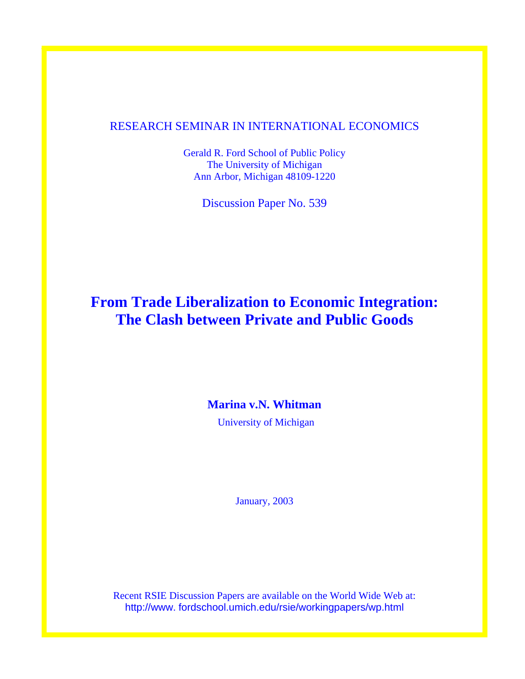### RESEARCH SEMINAR IN INTERNATIONAL ECONOMICS

Gerald R. Ford School of Public Policy The University of Michigan Ann Arbor, Michigan 48109-1220

Discussion Paper No. 539

# **From Trade Liberalization to Economic Integration: The Clash between Private and Public Goods**

# **Marina v.N. Whitman**

University of Michigan

January, 2003

Recent RSIE Discussion Papers are available on the World Wide Web at: http://www. fordschool.umich.edu/rsie/workingpapers/wp.html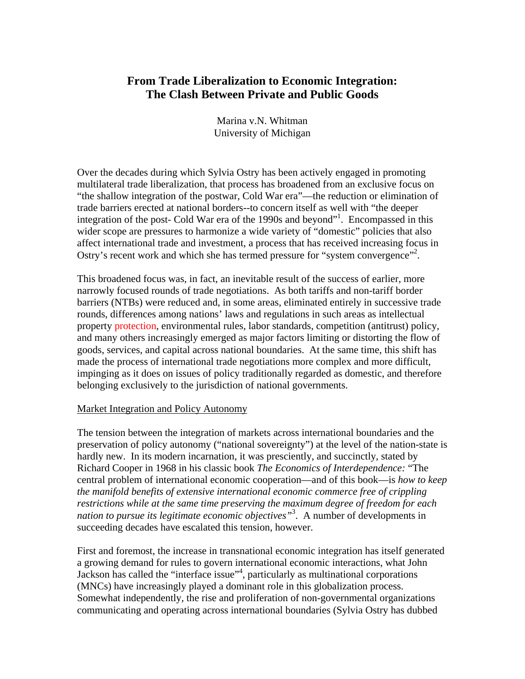## **From Trade Liberalization to Economic Integration: The Clash Between Private and Public Goods**

Marina v.N. Whitman University of Michigan

Over the decades during which Sylvia Ostry has been actively engaged in promoting multilateral trade liberalization, that process has broadened from an exclusive focus on "the shallow integration of the postwar, Cold War era"—the reduction or elimination of trade barriers erected at national borders--to concern itself as well with "the deeper integration of the post- Cold War era of the [1](#page-17-0)990s and beyond"<sup>1</sup>. Encompassed in this wider scope are pressures to harmonize a wide variety of "domestic" policies that also affect international trade and investment, a process that has received increasing focus in Ostry's recent work and which she has termed pressure for "system convergence"<sup>2</sup>.

This broadened focus was, in fact, an inevitable result of the success of earlier, more narrowly focused rounds of trade negotiations. As both tariffs and non-tariff border barriers (NTBs) were reduced and, in some areas, eliminated entirely in successive trade rounds, differences among nations' laws and regulations in such areas as intellectual property protection, environmental rules, labor standards, competition (antitrust) policy, and many others increasingly emerged as major factors limiting or distorting the flow of goods, services, and capital across national boundaries. At the same time, this shift has made the process of international trade negotiations more complex and more difficult, impinging as it does on issues of policy traditionally regarded as domestic, and therefore belonging exclusively to the jurisdiction of national governments.

#### Market Integration and Policy Autonomy

The tension between the integration of markets across international boundaries and the preservation of policy autonomy ("national sovereignty") at the level of the nation-state is hardly new. In its modern incarnation, it was presciently, and succinctly, stated by Richard Cooper in 1968 in his classic book *The Economics of Interdependence:* "The central problem of international economic cooperation—and of this book—is *how to keep the manifold benefits of extensive international economic commerce free of crippling restrictions while at the same time preserving the maximum degree of freedom for each nation to pursue its legitimate economic objectives"*[3](#page-17-2) . A number of developments in succeeding decades have escalated this tension, however.

First and foremost, the increase in transnational economic integration has itself generated a growing demand for rules to govern international economic interactions, what John Jackson has called the "interface issue"<sup>4</sup>, particularly as multinational corporations (MNCs) have increasingly played a dominant role in this globalization process. Somewhat independently, the rise and proliferation of non-governmental organizations communicating and operating across international boundaries (Sylvia Ostry has dubbed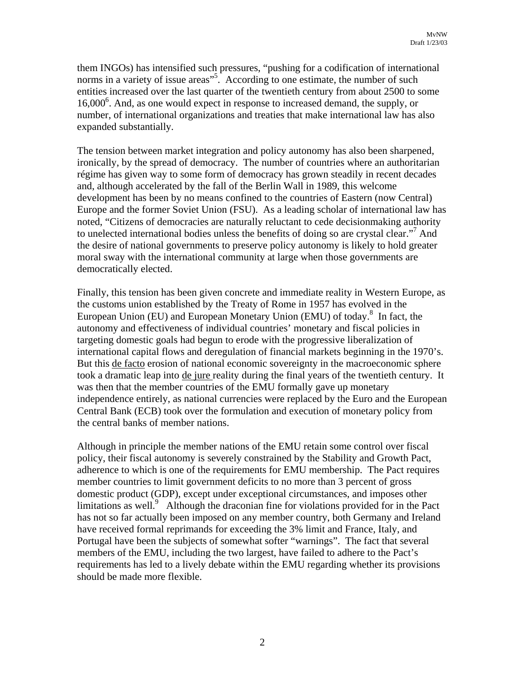them INGOs) has intensified such pressures, "pushing for a codification of international norms in a variety of issue areas"<sup>5</sup>. According to one estimate, the number of such entities increased over the last quarter of the twentieth century from about 2500 to some 1[6](#page-17-5),000<sup>6</sup>. And, as one would expect in response to increased demand, the supply, or number, of international organizations and treaties that make international law has also expanded substantially.

The tension between market integration and policy autonomy has also been sharpened, ironically, by the spread of democracy. The number of countries where an authoritarian régime has given way to some form of democracy has grown steadily in recent decades and, although accelerated by the fall of the Berlin Wall in 1989, this welcome development has been by no means confined to the countries of Eastern (now Central) Europe and the former Soviet Union (FSU). As a leading scholar of international law has noted, "Citizens of democracies are naturally reluctant to cede decisionmaking authority to unelected international bodies unless the benefits of doing so are crystal clear."<sup>7</sup> And the desire of national governments to preserve policy autonomy is likely to hold greater moral sway with the international community at large when those governments are democratically elected.

Finally, this tension has been given concrete and immediate reality in Western Europe, as the customs union established by the Treaty of Rome in 1957 has evolved in the EuropeanUnion (EU) and European Monetary Union (EMU) of today.<sup>8</sup> In fact, the autonomy and effectiveness of individual countries' monetary and fiscal policies in targeting domestic goals had begun to erode with the progressive liberalization of international capital flows and deregulation of financial markets beginning in the 1970's. But this de facto erosion of national economic sovereignty in the macroeconomic sphere took a dramatic leap into de jure reality during the final years of the twentieth century. It was then that the member countries of the EMU formally gave up monetary independence entirely, as national currencies were replaced by the Euro and the European Central Bank (ECB) took over the formulation and execution of monetary policy from the central banks of member nations.

Although in principle the member nations of the EMU retain some control over fiscal policy, their fiscal autonomy is severely constrained by the Stability and Growth Pact, adherence to which is one of the requirements for EMU membership. The Pact requires member countries to limit government deficits to no more than 3 percent of gross domestic product (GDP), except under exceptional circumstances, and imposes other limitations as well.<sup>9</sup> Although the draconian fine for violations provided for in the Pact has not so far actually been imposed on any member country, both Germany and Ireland have received formal reprimands for exceeding the 3% limit and France, Italy, and Portugal have been the subjects of somewhat softer "warnings". The fact that several members of the EMU, including the two largest, have failed to adhere to the Pact's requirements has led to a lively debate within the EMU regarding whether its provisions should be made more flexible.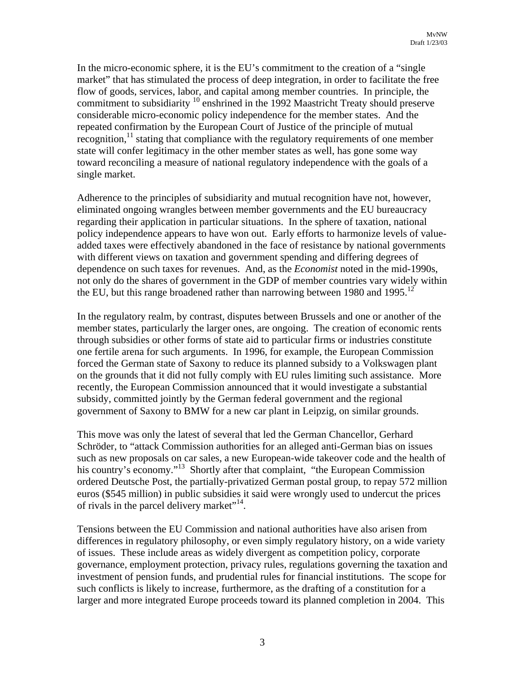In the micro-economic sphere, it is the EU's commitment to the creation of a "single market" that has stimulated the process of deep integration, in order to facilitate the free flow of goods, services, labor, and capital among member countries. In principle, the commitment to subsidiarity  $10^{\circ}$  enshrined in the 1992 Maastricht Treaty should preserve considerable micro-economic policy independence for the member states. And the repeated confirmation by the European Court of Justice of the principle of mutual recognition, $^{11}$  stating that compliance with the regulatory requirements of one member state will confer legitimacy in the other member states as well, has gone some way toward reconciling a measure of national regulatory independence with the goals of a single market.

Adherence to the principles of subsidiarity and mutual recognition have not, however, eliminated ongoing wrangles between member governments and the EU bureaucracy regarding their application in particular situations. In the sphere of taxation, national policy independence appears to have won out. Early efforts to harmonize levels of valueadded taxes were effectively abandoned in the face of resistance by national governments with different views on taxation and government spending and differing degrees of dependence on such taxes for revenues. And, as the *Economist* noted in the mid-1990s, not only do the shares of government in the GDP of member countries vary widely within the EU, but this range broadened rather than narrowing between 1980 and 1995.<sup>12</sup>

In the regulatory realm, by contrast, disputes between Brussels and one or another of the member states, particularly the larger ones, are ongoing. The creation of economic rents through subsidies or other forms of state aid to particular firms or industries constitute one fertile arena for such arguments. In 1996, for example, the European Commission forced the German state of Saxony to reduce its planned subsidy to a Volkswagen plant on the grounds that it did not fully comply with EU rules limiting such assistance. More recently, the European Commission announced that it would investigate a substantial subsidy, committed jointly by the German federal government and the regional government of Saxony to BMW for a new car plant in Leipzig, on similar grounds.

This move was only the latest of several that led the German Chancellor, Gerhard Schröder, to "attack Commission authorities for an alleged anti-German bias on issues such as new proposals on car sales, a new European-wide takeover code and the health of his country's economy."<sup>13</sup> Shortly after that complaint, "the European Commission" ordered Deutsche Post, the partially-privatized German postal group, to repay 572 million euros (\$545 million) in public subsidies it said were wrongly used to undercut the prices of rivals in the parcel delivery market"<sup>14</sup>.

Tensions between the EU Commission and national authorities have also arisen from differences in regulatory philosophy, or even simply regulatory history, on a wide variety of issues. These include areas as widely divergent as competition policy, corporate governance, employment protection, privacy rules, regulations governing the taxation and investment of pension funds, and prudential rules for financial institutions. The scope for such conflicts is likely to increase, furthermore, as the drafting of a constitution for a larger and more integrated Europe proceeds toward its planned completion in 2004. This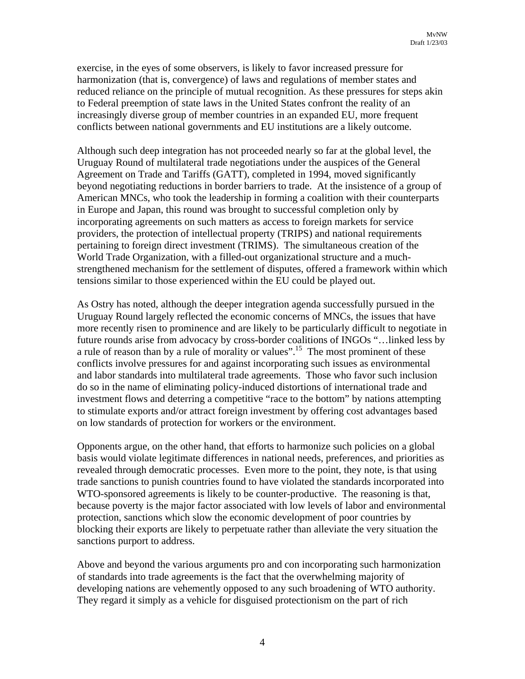exercise, in the eyes of some observers, is likely to favor increased pressure for harmonization (that is, convergence) of laws and regulations of member states and reduced reliance on the principle of mutual recognition. As these pressures for steps akin to Federal preemption of state laws in the United States confront the reality of an increasingly diverse group of member countries in an expanded EU, more frequent conflicts between national governments and EU institutions are a likely outcome.

Although such deep integration has not proceeded nearly so far at the global level, the Uruguay Round of multilateral trade negotiations under the auspices of the General Agreement on Trade and Tariffs (GATT), completed in 1994, moved significantly beyond negotiating reductions in border barriers to trade. At the insistence of a group of American MNCs, who took the leadership in forming a coalition with their counterparts in Europe and Japan, this round was brought to successful completion only by incorporating agreements on such matters as access to foreign markets for service providers, the protection of intellectual property (TRIPS) and national requirements pertaining to foreign direct investment (TRIMS). The simultaneous creation of the World Trade Organization, with a filled-out organizational structure and a muchstrengthened mechanism for the settlement of disputes, offered a framework within which tensions similar to those experienced within the EU could be played out.

As Ostry has noted, although the deeper integration agenda successfully pursued in the Uruguay Round largely reflected the economic concerns of MNCs, the issues that have more recently risen to prominence and are likely to be particularly difficult to negotiate in future rounds arise from advocacy by cross-border coalitions of INGOs "…linked less by a rule of reason than by a rule of morality or values"[.15](#page-17-14) The most prominent of these conflicts involve pressures for and against incorporating such issues as environmental and labor standards into multilateral trade agreements. Those who favor such inclusion do so in the name of eliminating policy-induced distortions of international trade and investment flows and deterring a competitive "race to the bottom" by nations attempting to stimulate exports and/or attract foreign investment by offering cost advantages based on low standards of protection for workers or the environment.

Opponents argue, on the other hand, that efforts to harmonize such policies on a global basis would violate legitimate differences in national needs, preferences, and priorities as revealed through democratic processes. Even more to the point, they note, is that using trade sanctions to punish countries found to have violated the standards incorporated into WTO-sponsored agreements is likely to be counter-productive. The reasoning is that, because poverty is the major factor associated with low levels of labor and environmental protection, sanctions which slow the economic development of poor countries by blocking their exports are likely to perpetuate rather than alleviate the very situation the sanctions purport to address.

Above and beyond the various arguments pro and con incorporating such harmonization of standards into trade agreements is the fact that the overwhelming majority of developing nations are vehemently opposed to any such broadening of WTO authority. They regard it simply as a vehicle for disguised protectionism on the part of rich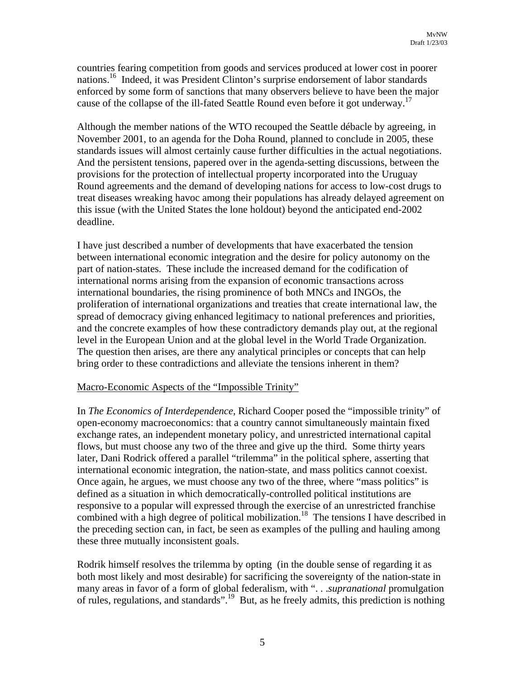countries fearing competition from goods and services produced at lower cost in poorer nations.<sup>16</sup> Indeed, it was President Clinton's surprise endorsement of labor standards enforced by some form of sanctions that many observers believe to have been the major cause of the collapse of the ill-fated Seattle Round even before it got underway.<sup>17</sup>

Although the member nations of the WTO recouped the Seattle débacle by agreeing, in November 2001, to an agenda for the Doha Round, planned to conclude in 2005, these standards issues will almost certainly cause further difficulties in the actual negotiations. And the persistent tensions, papered over in the agenda-setting discussions, between the provisions for the protection of intellectual property incorporated into the Uruguay Round agreements and the demand of developing nations for access to low-cost drugs to treat diseases wreaking havoc among their populations has already delayed agreement on this issue (with the United States the lone holdout) beyond the anticipated end-2002 deadline.

I have just described a number of developments that have exacerbated the tension between international economic integration and the desire for policy autonomy on the part of nation-states. These include the increased demand for the codification of international norms arising from the expansion of economic transactions across international boundaries, the rising prominence of both MNCs and INGOs, the proliferation of international organizations and treaties that create international law, the spread of democracy giving enhanced legitimacy to national preferences and priorities, and the concrete examples of how these contradictory demands play out, at the regional level in the European Union and at the global level in the World Trade Organization. The question then arises, are there any analytical principles or concepts that can help bring order to these contradictions and alleviate the tensions inherent in them?

#### Macro-Economic Aspects of the "Impossible Trinity"

In *The Economics of Interdependence*, Richard Cooper posed the "impossible trinity" of open-economy macroeconomics: that a country cannot simultaneously maintain fixed exchange rates, an independent monetary policy, and unrestricted international capital flows, but must choose any two of the three and give up the third. Some thirty years later, Dani Rodrick offered a parallel "trilemma" in the political sphere, asserting that international economic integration, the nation-state, and mass politics cannot coexist. Once again, he argues, we must choose any two of the three, where "mass politics" is defined as a situation in which democratically-controlled political institutions are responsive to a popular will expressed through the exercise of an unrestricted franchise combined with a high degree of political mobilization.<sup>18</sup> The tensions I have described in the preceding section can, in fact, be seen as examples of the pulling and hauling among these three mutually inconsistent goals.

Rodrik himself resolves the trilemma by opting (in the double sense of regarding it as both most likely and most desirable) for sacrificing the sovereignty of the nation-state in many areas in favor of a form of global federalism, with ". . .*supranational* promulgation of rules, regulations, and standards".[19 B](#page-17-18)ut, as he freely admits, this prediction is nothing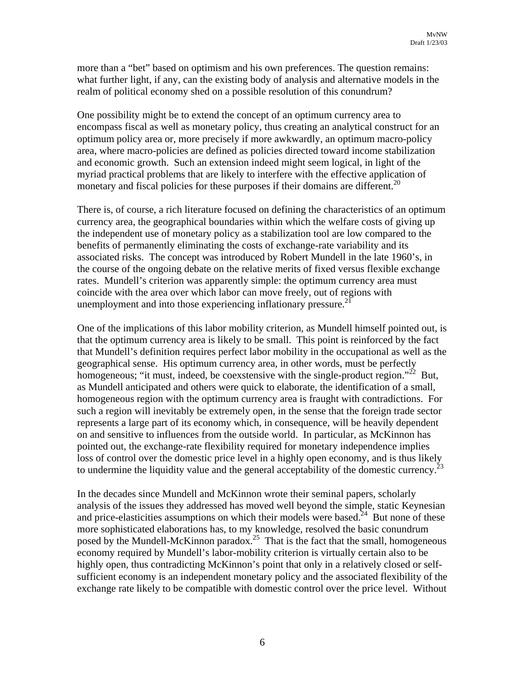more than a "bet" based on optimism and his own preferences. The question remains: what further light, if any, can the existing body of analysis and alternative models in the realm of political economy shed on a possible resolution of this conundrum?

One possibility might be to extend the concept of an optimum currency area to encompass fiscal as well as monetary policy, thus creating an analytical construct for an optimum policy area or, more precisely if more awkwardly, an optimum macro-policy area, where macro-policies are defined as policies directed toward income stabilization and economic growth. Such an extension indeed might seem logical, in light of the myriad practical problems that are likely to interfere with the effective application of monetary and fiscal policies for these purposes if their domains are different.<sup>[20](#page-17-19)</sup>

There is, of course, a rich literature focused on defining the characteristics of an optimum currency area, the geographical boundaries within which the welfare costs of giving up the independent use of monetary policy as a stabilization tool are low compared to the benefits of permanently eliminating the costs of exchange-rate variability and its associated risks. The concept was introduced by Robert Mundell in the late 1960's, in the course of the ongoing debate on the relative merits of fixed versus flexible exchange rates. Mundell's criterion was apparently simple: the optimum currency area must coincide with the area over which labor can move freely, out of regions with unemployment and into those experiencing inflationary pressure.<sup>21</sup>

One of the implications of this labor mobility criterion, as Mundell himself pointed out, is that the optimum currency area is likely to be small. This point is reinforced by the fact that Mundell's definition requires perfect labor mobility in the occupational as well as the geographical sense. His optimum currency area, in other words, must be perfectly homogeneous; "it must, indeed, be coexstensive with the single-product region."<sup>22</sup> But, as Mundell anticipated and others were quick to elaborate, the identification of a small, homogeneous region with the optimum currency area is fraught with contradictions. For such a region will inevitably be extremely open, in the sense that the foreign trade sector represents a large part of its economy which, in consequence, will be heavily dependent on and sensitive to influences from the outside world. In particular, as McKinnon has pointed out, the exchange-rate flexibility required for monetary independence implies loss of control over the domestic price level in a highly open economy, and is thus likely to undermine the liquidity value and the general acceptability of the domestic currency.<sup>23</sup>

In the decades since Mundell and McKinnon wrote their seminal papers, scholarly analysis of the issues they addressed has moved well beyond the simple, static Keynesian and price-elasticities assumptions on which their models were based.<sup>24</sup> But none of these more sophisticated elaborations has, to my knowledge, resolved the basic conundrum posed by the Mundell-McKinnon paradox.<sup>25</sup> That is the fact that the small, homogeneous economy required by Mundell's labor-mobility criterion is virtually certain also to be highly open, thus contradicting McKinnon's point that only in a relatively closed or selfsufficient economy is an independent monetary policy and the associated flexibility of the exchange rate likely to be compatible with domestic control over the price level. Without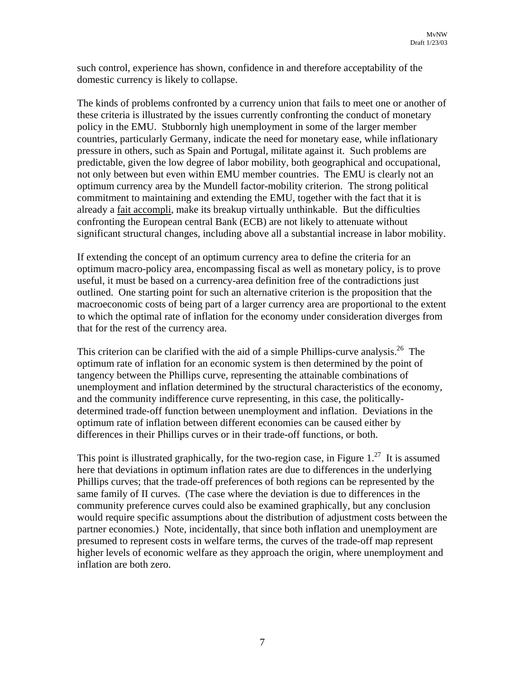such control, experience has shown, confidence in and therefore acceptability of the domestic currency is likely to collapse.

The kinds of problems confronted by a currency union that fails to meet one or another of these criteria is illustrated by the issues currently confronting the conduct of monetary policy in the EMU. Stubbornly high unemployment in some of the larger member countries, particularly Germany, indicate the need for monetary ease, while inflationary pressure in others, such as Spain and Portugal, militate against it. Such problems are predictable, given the low degree of labor mobility, both geographical and occupational, not only between but even within EMU member countries. The EMU is clearly not an optimum currency area by the Mundell factor-mobility criterion. The strong political commitment to maintaining and extending the EMU, together with the fact that it is already a fait accompli, make its breakup virtually unthinkable. But the difficulties confronting the European central Bank (ECB) are not likely to attenuate without significant structural changes, including above all a substantial increase in labor mobility.

If extending the concept of an optimum currency area to define the criteria for an optimum macro-policy area, encompassing fiscal as well as monetary policy, is to prove useful, it must be based on a currency-area definition free of the contradictions just outlined. One starting point for such an alternative criterion is the proposition that the macroeconomic costs of being part of a larger currency area are proportional to the extent to which the optimal rate of inflation for the economy under consideration diverges from that for the rest of the currency area.

This criterion can be clarified with the aid of a simple Phillips-curve analysis.<sup>26</sup> The optimum rate of inflation for an economic system is then determined by the point of tangency between the Phillips curve, representing the attainable combinations of unemployment and inflation determined by the structural characteristics of the economy, and the community indifference curve representing, in this case, the politicallydetermined trade-off function between unemployment and inflation. Deviations in the optimum rate of inflation between different economies can be caused either by differences in their Phillips curves or in their trade-off functions, or both.

This point is illustrated graphically, for the two-region case, in Figure  $1<sup>27</sup>$  It is assumed here that deviations in optimum inflation rates are due to differences in the underlying Phillips curves; that the trade-off preferences of both regions can be represented by the same family of II curves. (The case where the deviation is due to differences in the community preference curves could also be examined graphically, but any conclusion would require specific assumptions about the distribution of adjustment costs between the partner economies.) Note, incidentally, that since both inflation and unemployment are presumed to represent costs in welfare terms, the curves of the trade-off map represent higher levels of economic welfare as they approach the origin, where unemployment and inflation are both zero.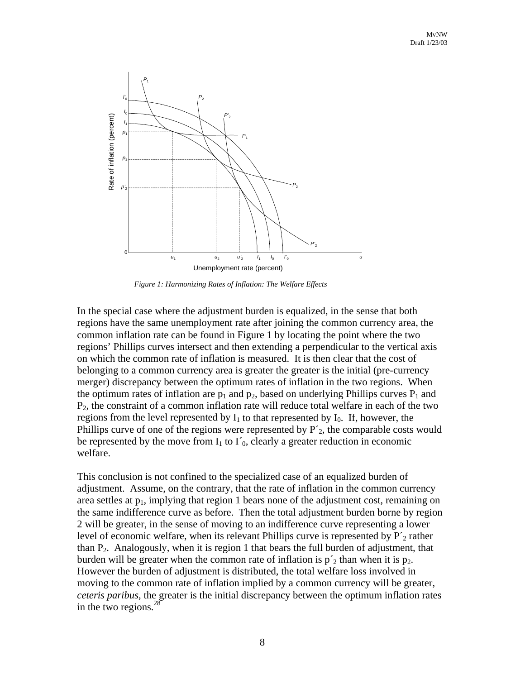

*Figure 1: Harmonizing Rates of Inflation: The Welfare Effects*

In the special case where the adjustment burden is equalized, in the sense that both regions have the same unemployment rate after joining the common currency area, the common inflation rate can be found in Figure 1 by locating the point where the two regions' Phillips curves intersect and then extending a perpendicular to the vertical axis on which the common rate of inflation is measured. It is then clear that the cost of belonging to a common currency area is greater the greater is the initial (pre-currency merger) discrepancy between the optimum rates of inflation in the two regions. When the optimum rates of inflation are  $p_1$  and  $p_2$ , based on underlying Phillips curves  $P_1$  and  $P_2$ , the constraint of a common inflation rate will reduce total welfare in each of the two regions from the level represented by  $I_1$  to that represented by  $I_0$ . If, however, the Phillips curve of one of the regions were represented by  $P'_{2}$ , the comparable costs would be represented by the move from  $I_1$  to  $I'_0$ , clearly a greater reduction in economic welfare.

This conclusion is not confined to the specialized case of an equalized burden of adjustment. Assume, on the contrary, that the rate of inflation in the common currency area settles at  $p_1$ , implying that region 1 bears none of the adjustment cost, remaining on the same indifference curve as before. Then the total adjustment burden borne by region 2 will be greater, in the sense of moving to an indifference curve representing a lower level of economic welfare, when its relevant Phillips curve is represented by  $P_2'$  rather than  $P_2$ . Analogously, when it is region 1 that bears the full burden of adjustment, that burden will be greater when the common rate of inflation is  $p'_2$  than when it is  $p_2$ . However the burden of adjustment is distributed, the total welfare loss involved in moving to the common rate of inflation implied by a common currency will be greater, *ceteris paribus*, the greater is the initial discrepancy between the optimum inflation rates in the two regions. $28$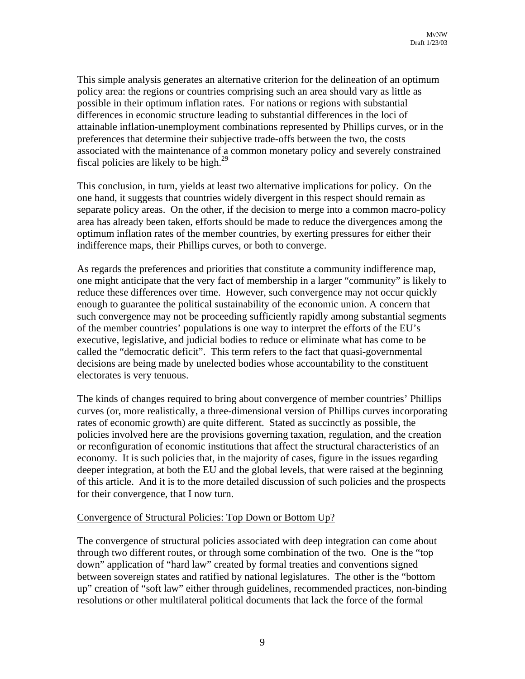This simple analysis generates an alternative criterion for the delineation of an optimum policy area: the regions or countries comprising such an area should vary as little as possible in their optimum inflation rates. For nations or regions with substantial differences in economic structure leading to substantial differences in the loci of attainable inflation-unemployment combinations represented by Phillips curves, or in the preferences that determine their subjective trade-offs between the two, the costs associated with the maintenance of a common monetary policy and severely constrained fiscal policies are likely to be high. $^{29}$ 

This conclusion, in turn, yields at least two alternative implications for policy. On the one hand, it suggests that countries widely divergent in this respect should remain as separate policy areas. On the other, if the decision to merge into a common macro-policy area has already been taken, efforts should be made to reduce the divergences among the optimum inflation rates of the member countries, by exerting pressures for either their indifference maps, their Phillips curves, or both to converge.

As regards the preferences and priorities that constitute a community indifference map, one might anticipate that the very fact of membership in a larger "community" is likely to reduce these differences over time. However, such convergence may not occur quickly enough to guarantee the political sustainability of the economic union. A concern that such convergence may not be proceeding sufficiently rapidly among substantial segments of the member countries' populations is one way to interpret the efforts of the EU's executive, legislative, and judicial bodies to reduce or eliminate what has come to be called the "democratic deficit". This term refers to the fact that quasi-governmental decisions are being made by unelected bodies whose accountability to the constituent electorates is very tenuous.

The kinds of changes required to bring about convergence of member countries' Phillips curves (or, more realistically, a three-dimensional version of Phillips curves incorporating rates of economic growth) are quite different. Stated as succinctly as possible, the policies involved here are the provisions governing taxation, regulation, and the creation or reconfiguration of economic institutions that affect the structural characteristics of an economy. It is such policies that, in the majority of cases, figure in the issues regarding deeper integration, at both the EU and the global levels, that were raised at the beginning of this article. And it is to the more detailed discussion of such policies and the prospects for their convergence, that I now turn.

#### Convergence of Structural Policies: Top Down or Bottom Up?

The convergence of structural policies associated with deep integration can come about through two different routes, or through some combination of the two. One is the "top down" application of "hard law" created by formal treaties and conventions signed between sovereign states and ratified by national legislatures. The other is the "bottom up" creation of "soft law" either through guidelines, recommended practices, non-binding resolutions or other multilateral political documents that lack the force of the formal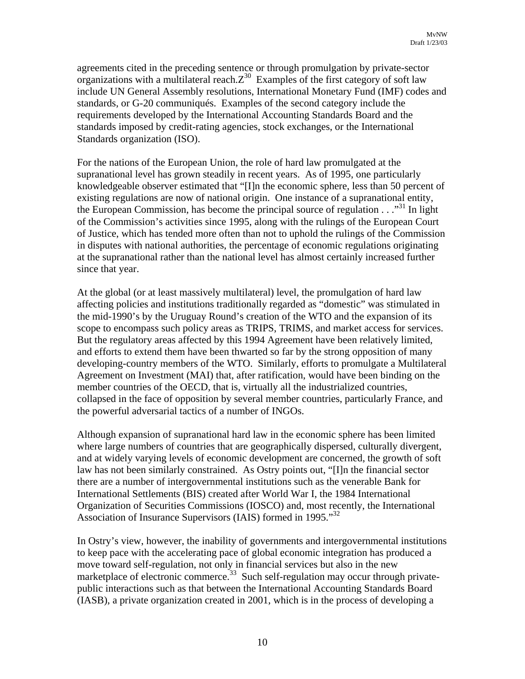agreements cited in the preceding sentence or through promulgation by private-sector organizations with a multilateral reach. $Z^{30}$  Examples of the first category of soft law include UN General Assembly resolutions, International Monetary Fund (IMF) codes and standards, or G-20 communiqués. Examples of the second category include the requirements developed by the International Accounting Standards Board and the standards imposed by credit-rating agencies, stock exchanges, or the International Standards organization (ISO).

For the nations of the European Union, the role of hard law promulgated at the supranational level has grown steadily in recent years. As of 1995, one particularly knowledgeable observer estimated that "[I]n the economic sphere, less than 50 percent of existing regulations are now of national origin. One instance of a supranational entity, the European Commission, has become the principal source of regulation  $\ldots$ <sup>31</sup>. In light of the Commission's activities since 1995, along with the rulings of the European Court of Justice, which has tended more often than not to uphold the rulings of the Commission in disputes with national authorities, the percentage of economic regulations originating at the supranational rather than the national level has almost certainly increased further since that year.

At the global (or at least massively multilateral) level, the promulgation of hard law affecting policies and institutions traditionally regarded as "domestic" was stimulated in the mid-1990's by the Uruguay Round's creation of the WTO and the expansion of its scope to encompass such policy areas as TRIPS, TRIMS, and market access for services. But the regulatory areas affected by this 1994 Agreement have been relatively limited, and efforts to extend them have been thwarted so far by the strong opposition of many developing-country members of the WTO. Similarly, efforts to promulgate a Multilateral Agreement on Investment (MAI) that, after ratification, would have been binding on the member countries of the OECD, that is, virtually all the industrialized countries, collapsed in the face of opposition by several member countries, particularly France, and the powerful adversarial tactics of a number of INGOs.

Although expansion of supranational hard law in the economic sphere has been limited where large numbers of countries that are geographically dispersed, culturally divergent, and at widely varying levels of economic development are concerned, the growth of soft law has not been similarly constrained. As Ostry points out, "[I]n the financial sector there are a number of intergovernmental institutions such as the venerable Bank for International Settlements (BIS) created after World War I, the 1984 International Organization of Securities Commissions (IOSCO) and, most recently, the International Association of Insurance Supervisors (IAIS) formed in 1995."<sup>32</sup>

In Ostry's view, however, the inability of governments and intergovernmental institutions to keep pace with the accelerating pace of global economic integration has produced a move toward self-regulation, not only in financial services but also in the new marketplace of electronic commerce.<sup>33</sup> Such self-regulation may occur through privatepublic interactions such as that between the International Accounting Standards Board (IASB), a private organization created in 2001, which is in the process of developing a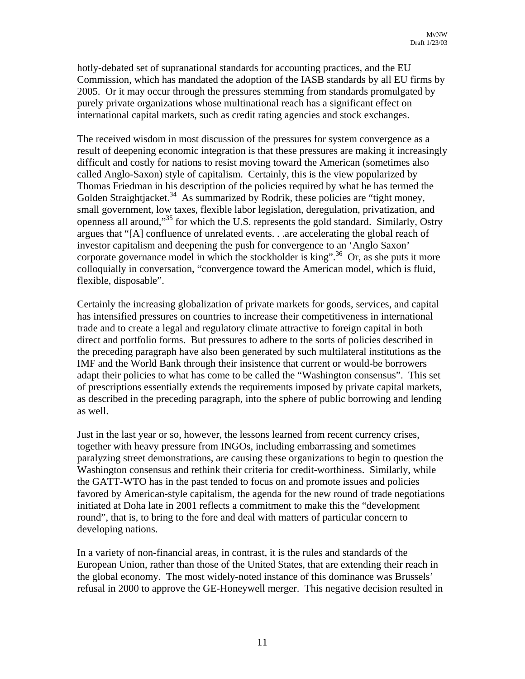hotly-debated set of supranational standards for accounting practices, and the EU Commission, which has mandated the adoption of the IASB standards by all EU firms by 2005. Or it may occur through the pressures stemming from standards promulgated by purely private organizations whose multinational reach has a significant effect on international capital markets, such as credit rating agencies and stock exchanges.

The received wisdom in most discussion of the pressures for system convergence as a result of deepening economic integration is that these pressures are making it increasingly difficult and costly for nations to resist moving toward the American (sometimes also called Anglo-Saxon) style of capitalism. Certainly, this is the view popularized by Thomas Friedman in his description of the policies required by what he has termed the Golden Straightjacket.<sup>34</sup> As summarized by Rodrik, these policies are "tight money, small government, low taxes, flexible labor legislation, deregulation, privatization, and openness all around,"[35 f](#page-17-15)or which the U.S. represents the gold standard. Similarly, Ostry argues that "[A] confluence of unrelated events. . .are accelerating the global reach of investor capitalism and deepening the push for convergence to an 'Anglo Saxon' corporate governance model in which the stockholder is king".<sup>36</sup> Or, as she puts it more colloquially in conversation, "convergence toward the American model, which is fluid, flexible, disposable".

Certainly the increasing globalization of private markets for goods, services, and capital has intensified pressures on countries to increase their competitiveness in international trade and to create a legal and regulatory climate attractive to foreign capital in both direct and portfolio forms. But pressures to adhere to the sorts of policies described in the preceding paragraph have also been generated by such multilateral institutions as the IMF and the World Bank through their insistence that current or would-be borrowers adapt their policies to what has come to be called the "Washington consensus". This set of prescriptions essentially extends the requirements imposed by private capital markets, as described in the preceding paragraph, into the sphere of public borrowing and lending as well.

Just in the last year or so, however, the lessons learned from recent currency crises, together with heavy pressure from INGOs, including embarrassing and sometimes paralyzing street demonstrations, are causing these organizations to begin to question the Washington consensus and rethink their criteria for credit-worthiness. Similarly, while the GATT-WTO has in the past tended to focus on and promote issues and policies favored by American-style capitalism, the agenda for the new round of trade negotiations initiated at Doha late in 2001 reflects a commitment to make this the "development round", that is, to bring to the fore and deal with matters of particular concern to developing nations.

In a variety of non-financial areas, in contrast, it is the rules and standards of the European Union, rather than those of the United States, that are extending their reach in the global economy. The most widely-noted instance of this dominance was Brussels' refusal in 2000 to approve the GE-Honeywell merger. This negative decision resulted in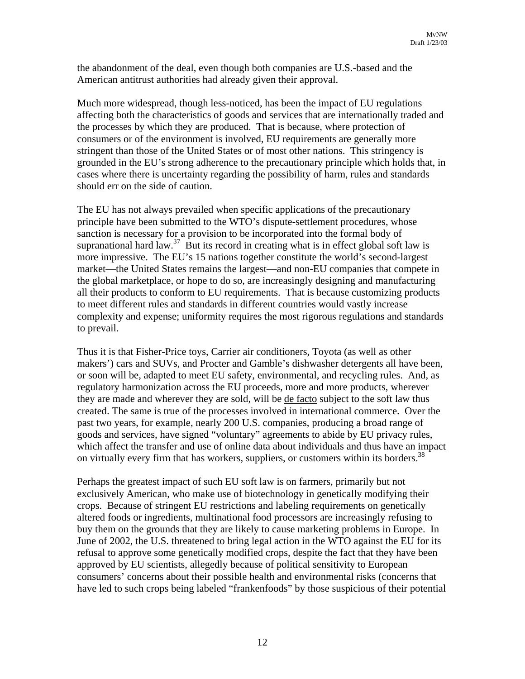the abandonment of the deal, even though both companies are U.S.-based and the American antitrust authorities had already given their approval.

Much more widespread, though less-noticed, has been the impact of EU regulations affecting both the characteristics of goods and services that are internationally traded and the processes by which they are produced. That is because, where protection of consumers or of the environment is involved, EU requirements are generally more stringent than those of the United States or of most other nations. This stringency is grounded in the EU's strong adherence to the precautionary principle which holds that, in cases where there is uncertainty regarding the possibility of harm, rules and standards should err on the side of caution.

The EU has not always prevailed when specific applications of the precautionary principle have been submitted to the WTO's dispute-settlement procedures, whose sanction is necessary for a provision to be incorporated into the formal body of supranational hard law.<sup>37</sup> But its record in creating what is in effect global soft law is more impressive. The EU's 15 nations together constitute the world's second-largest market—the United States remains the largest—and non-EU companies that compete in the global marketplace, or hope to do so, are increasingly designing and manufacturing all their products to conform to EU requirements. That is because customizing products to meet different rules and standards in different countries would vastly increase complexity and expense; uniformity requires the most rigorous regulations and standards to prevail.

Thus it is that Fisher-Price toys, Carrier air conditioners, Toyota (as well as other makers') cars and SUVs, and Procter and Gamble's dishwasher detergents all have been, or soon will be, adapted to meet EU safety, environmental, and recycling rules. And, as regulatory harmonization across the EU proceeds, more and more products, wherever they are made and wherever they are sold, will be de facto subject to the soft law thus created. The same is true of the processes involved in international commerce. Over the past two years, for example, nearly 200 U.S. companies, producing a broad range of goods and services, have signed "voluntary" agreements to abide by EU privacy rules, which affect the transfer and use of online data about individuals and thus have an impact on virtually every firm that has workers, suppliers, or customers within its borders.<sup>38</sup>

Perhaps the greatest impact of such EU soft law is on farmers, primarily but not exclusively American, who make use of biotechnology in genetically modifying their crops. Because of stringent EU restrictions and labeling requirements on genetically altered foods or ingredients, multinational food processors are increasingly refusing to buy them on the grounds that they are likely to cause marketing problems in Europe. In June of 2002, the U.S. threatened to bring legal action in the WTO against the EU for its refusal to approve some genetically modified crops, despite the fact that they have been approved by EU scientists, allegedly because of political sensitivity to European consumers' concerns about their possible health and environmental risks (concerns that have led to such crops being labeled "frankenfoods" by those suspicious of their potential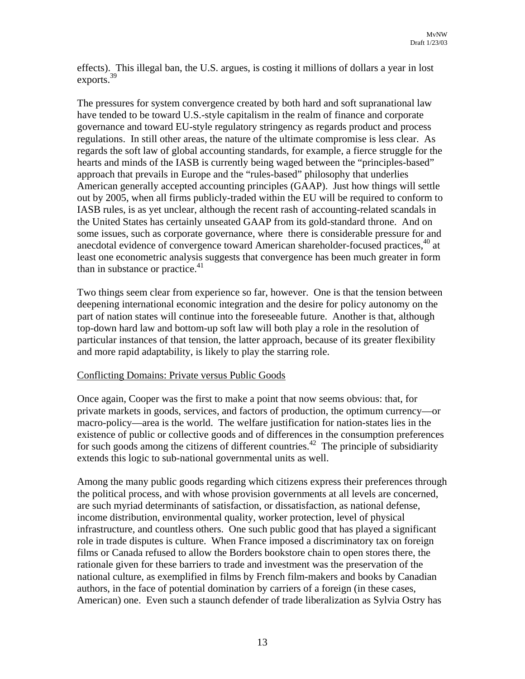effects). This illegal ban, the U.S. argues, is costing it millions of dollars a year in lost exports.<sup>39</sup>

The pressures for system convergence created by both hard and soft supranational law have tended to be toward U.S.-style capitalism in the realm of finance and corporate governance and toward EU-style regulatory stringency as regards product and process regulations. In still other areas, the nature of the ultimate compromise is less clear. As regards the soft law of global accounting standards, for example, a fierce struggle for the hearts and minds of the IASB is currently being waged between the "principles-based" approach that prevails in Europe and the "rules-based" philosophy that underlies American generally accepted accounting principles (GAAP). Just how things will settle out by 2005, when all firms publicly-traded within the EU will be required to conform to IASB rules, is as yet unclear, although the recent rash of accounting-related scandals in the United States has certainly unseated GAAP from its gold-standard throne. And on some issues, such as corporate governance, where there is considerable pressure for and anecdotal evidence of convergence toward American shareholder-focused practices,<sup>40</sup> at least one econometric analysis suggests that convergence has been much greater in form than in substance or practice. $41$ 

Two things seem clear from experience so far, however. One is that the tension between deepening international economic integration and the desire for policy autonomy on the part of nation states will continue into the foreseeable future. Another is that, although top-down hard law and bottom-up soft law will both play a role in the resolution of particular instances of that tension, the latter approach, because of its greater flexibility and more rapid adaptability, is likely to play the starring role.

#### Conflicting Domains: Private versus Public Goods

Once again, Cooper was the first to make a point that now seems obvious: that, for private markets in goods, services, and factors of production, the optimum currency—or macro-policy—area is the world. The welfare justification for nation-states lies in the existence of public or collective goods and of differences in the consumption preferences for such goods among the citizens of different countries.<sup>42</sup> The principle of subsidiarity extends this logic to sub-national governmental units as well.

Among the many public goods regarding which citizens express their preferences through the political process, and with whose provision governments at all levels are concerned, are such myriad determinants of satisfaction, or dissatisfaction, as national defense, income distribution, environmental quality, worker protection, level of physical infrastructure, and countless others. One such public good that has played a significant role in trade disputes is culture. When France imposed a discriminatory tax on foreign films or Canada refused to allow the Borders bookstore chain to open stores there, the rationale given for these barriers to trade and investment was the preservation of the national culture, as exemplified in films by French film-makers and books by Canadian authors, in the face of potential domination by carriers of a foreign (in these cases, American) one. Even such a staunch defender of trade liberalization as Sylvia Ostry has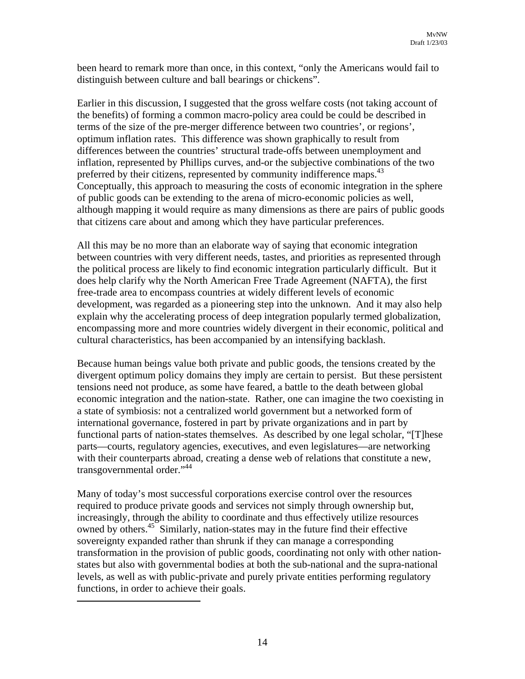been heard to remark more than once, in this context, "only the Americans would fail to distinguish between culture and ball bearings or chickens".

Earlier in this discussion, I suggested that the gross welfare costs (not taking account of the benefits) of forming a common macro-policy area could be could be described in terms of the size of the pre-merger difference between two countries', or regions', optimum inflation rates. This difference was shown graphically to result from differences between the countries' structural trade-offs between unemployment and inflation, represented by Phillips curves, and-or the subjective combinations of the two preferred by their citizens, represented by community indifference maps.<sup>[43](#page-17-37)</sup> [Conceptually, this approach to measuring the costs of economic integration](#page-17-37) in the sphere of public goods can be extending to the arena of micro-economic policies as well, although mapping it would require as many dimensions as there are pairs of public goods that citizens care about and among which they have particular preferences.

All this may be no more than an elaborate way of saying that economic integration between countries with very different needs, tastes, and priorities as represented through the political process are likely to find economic integration particularly difficult. But it does help clarify why the North American Free Trade Agreement (NAFTA), the first free-trade area to encompass countries at widely different levels of economic development, was regarded as a pioneering step into the unknown. And it may also help explain why the accelerating process of deep integration popularly termed globalization, encompassing more and more countries widely divergent in their economic, political and cultural characteristics, has been accompanied by an intensifying backlash.

Because human beings value both private and public goods, the tensions created by the divergent optimum policy domains they imply are certain to persist. But these persistent tensions need not produce, as some have feared, a battle to the death between global economic integration and the nation-state. Rather, one can imagine the two coexisting in a state of symbiosis: not a centralized world government but a networked form of international governance, fostered in part by private organizations and in part by functional parts of nation-states themselves. As described by one legal scholar, "[T]hese parts—courts, regulatory agencies, executives, and even legislatures—are networking with their counterparts abroad, creating a dense web of relations that constitute a new, transgovernmental order."[44](#page-17-38) 

Many of today's most successful corporations exercise control over the resources required to produce private goods and services not simply through ownership but, increasingly, through the ability to coordinate and thus effectively utilize resources owned by others.<sup>45</sup> Similarly, nation-states may in the future find their effective sovereignty expanded rather than shrunk if they can manage a corresponding transformation in the provision of public goods, coordinating not only with other nationstates but also with governmental bodies at both the sub-national and the supra-national levels, as well as with public-private and purely private entities performing regulatory functions, in order to achieve their goals.

 $\overline{a}$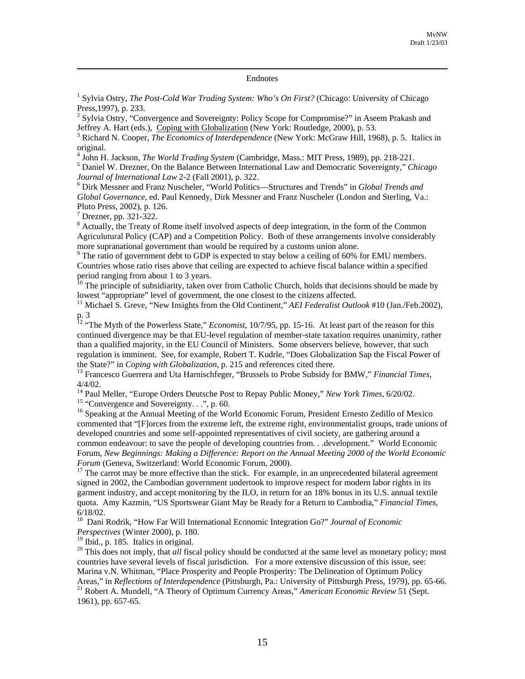# Endnotes

<sup>1</sup> Sylvia Ostry, *The Post-Cold War Trading System: Who's On First?* (Chicago: University of Chicago Press, 1997), p. 233.

 $2$  Sylvia Ostry, "Convergence and Sovereignty: Policy Scope for Compromise?" in Aseem Prakash and Jeffrey A. Hart (eds.), Coping with Globalization (New York: Routledge, 2000), p. 53.

<sup>3</sup> Richard N. Cooper, *The Economics of Interdependence* (New York: McGraw Hill, 1968), p. 5. Italics in original. 4

<sup>4</sup> John H. Jackson, *The World Trading System* (Cambridge, Mass.: MIT Press, 1989), pp. 218-221.

 Daniel W. Drezner, On the Balance Between International Law and Democratic Sovereignty," *Chicago Journal of International Law* 2-2 (Fall 2001), p. 322.

 Dirk Messner and Franz Nuscheler, "World Politics—Structures and Trends" in *Global Trends and Global Governance*, ed. Paul Kennedy, Dirk Messner and Franz Nuscheler (London and Sterling, Va.: Pluto Press, 2002), p. 126.<br><sup>7</sup> Drezner, pp. 321-322.

<sup>8</sup> Actually, the Treaty of Rome itself involved aspects of deep integration, in the form of the Common Agriculutural Policy (CAP) and a Competition Policy. Both of these arrangements involve considerably more supranational government than would be required by a customs union alone.

<sup>9</sup> The ratio of government debt to GDP is expected to stay below a ceiling of 60% for EMU members. Countries whose ratio rises above that ceiling are expected to achieve fiscal balance within a specified

period ranging from about 1 to 3 years.<br><sup>10</sup> The principle of subsidiarity, taken over from Catholic Church, holds that decisions should be made by lowest "appropriate" level of government, the one closest to the citizens

<sup>11</sup> Michael S. Greve, "New Insights from the Old Continent," *AEI Federalist Outlook* #10 (Jan./Feb.2002), p. 3

<sup>12</sup> "The Myth of the Powerless State," *Economist*, 10/7/95, pp. 15-16. At least part of the reason for this continued divergence may be that EU-level regulation of member-state taxation requires unanimity, rather than a qualified majority, in the EU Council of Ministers. Some observers believe, however, that such regulation is imminent. See, for example, Robert T. Kudrle, "Does Globalization Sap the Fiscal Power of the State?" in *Coping with Globalization*, p. 215 and references cited there.<br><sup>13</sup> Francesco Guerrera and Uta Harnischfeger, "Brussels to Probe Subsidy for BMW," *Financial Times*,

4/4/02.<br><sup>14</sup> Paul Meller, "Europe Orders Deutsche Post to Repay Public Money," *New York Times*, 6/20/02.<br><sup>15</sup> "Convergence and Sovereignty...", p. 60.<br><sup>16</sup> Speaking at the Annual Meeting of the World Economic Forum, Pres

commented that "[F]orces from the extreme left, the extreme right, environmentalist groups, trade unions of developed countries and some self-appointed representatives of civil society, are gathering around a common endeavour: to save the people of developing countries from. . .development." World Economic Forum, *New Beginnings: Making a Difference: Report on the Annual Meeting 2000 of the World Economic Forum* (Geneva, Switzerland: World Economic Forum, 2000).<br><sup>17</sup> The carrot may be more effective than the stick. For example, in an unprecedented bilateral agreement

signed in 2002, the Cambodian government undertook to improve respect for modern labor rights in its garment industry, and accept monitoring by the ILO, in return for an 18% bonus in its U.S. annual textile quota. Amy Kazmin, "US Sportswear Giant May be Ready for a Return to Cambodia," *Financial Times*,

6/18/02. 18 Dani Rodrik, "How Far Will International Economic Integration Go?" *Journal of Economic Perspectives* (Winter 2000), p. 180.<br><sup>19</sup> Ibid., p. 185. Italics in original.

<sup>20</sup> This does not imply, that *all* fiscal policy should be conducted at the same level as monetary policy; most countries have several levels of fiscal jurisdiction. For a more extensive discussion of this issue, see: Marina v.N. Whitman, "Place Prosperity and People Prosperity: The Delineation of Optimum Policy Areas," in *Reflections of Interdependence* (Pittsburgh, Pa.: University of Pittsburgh Press, 1979), pp. 65-66.<br><sup>21</sup> Robert A. Mundell, "A Theory of Optimum Currency Areas," *American Economic Review* 51 (Sept. 1961), pp. 657-65.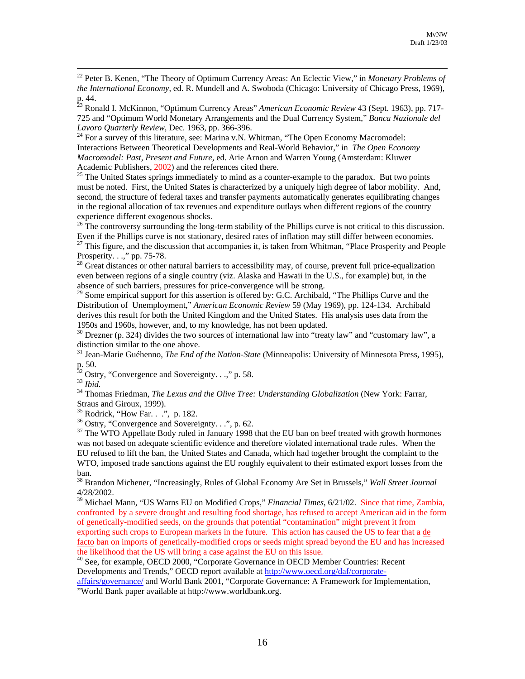22 Peter B. Kenen, "The Theory of Optimum Currency Areas: An Eclectic View," in *Monetary Problems of the International Economy*, ed. R. Mundell and A. Swoboda (Chicago: University of Chicago Press, 1969), p. 44. 23 Ronald I. McKinnon, "Optimum Currency Areas" *American Economic Review* 43 (Sept. 1963), pp. 717-

725 and "Optimum World Monetary Arrangements and the Dual Currency System," *Banca Nazionale del*

<sup>24</sup> For a survey of this literature, see: Marina v.N. Whitman, "The Open Economy Macromodel: Interactions Between Theoretical Developments and Real-World Behavior," in *The Open Economy Macromodel: Past, Present and Future,* ed. Arie Arnon and Warren Young (Amsterdam: Kluwer

Academic Publishers, 2002) and the references cited there.<br><sup>25</sup> The United States springs immediately to mind as a counter-example to the paradox. But two points must be noted. First, the United States is characterized by a uniquely high degree of labor mobility. And, second, the structure of federal taxes and transfer payments automatically generates equilibrating changes in the regional allocation of tax revenues and expenditure outlays when different regions of the country

experience different exogenous shocks.<br><sup>26</sup> The controversy surrounding the long-term stability of the Phillips curve is not critical to this discussion.<br>Even if the Phillips curve is not stationary, desired rates of infla

<sup>27</sup> This figure, and the discussion that accompanies it, is taken from Whitman, "Place Prosperity and People Prosperity.  $\ldots$ ," pp. 75-78.<br><sup>28</sup> Great distances or other natural barriers to accessibility may, of course, prevent full price-equalization

even between regions of a single country (viz. Alaska and Hawaii in the U.S., for example) but, in the absence of such barriers, pressures for price-convergence will be strong.<br><sup>29</sup> Some empirical support for this assertion is offered by: G.C. Archibald, "The Phillips Curve and the

Distribution of Unemployment," *American Economic Review* 59 (May 1969), pp. 124-134. Archibald derives this result for both the United Kingdom and the United States. His analysis uses data from the 1950s and 1960s, however, and, to my knowledge, has not been updated.

 $30$  Drezner (p. 324) divides the two sources of international law into "treaty law" and "customary law", a distinction similar to the one above.<br><sup>31</sup> Jean-Marie Guéhenno, *The End of the Nation-State* (Minneapolis: University of Minnesota Press, 1995),

p. 50.<br><sup>32</sup> Ostry, "Convergence and Sovereignty. . .," p. 58.<br><sup>33</sup> *Ibid.* 34 Thomas Friedman, *The Lexus and the Olive Tree: Understanding Globalization* (New York: Farrar,

Straus and Giroux, 1999).<br><sup>35</sup> Rodrick, "How Far. . .", p. 182.<br><sup>36</sup> Ostry, "Convergence and Sovereignty. . .", p. 62.<br><sup>37</sup> The WTO Appellate Body ruled in January 1998 that the EU ban on beef treated with growth hormones

was not based on adequate scientific evidence and therefore violated international trade rules. When the EU refused to lift the ban, the United States and Canada, which had together brought the complaint to the WTO, imposed trade sanctions against the EU roughly equivalent to their estimated export losses from the ban.<br><sup>38</sup> Brandon Michener, "Increasingly, Rules of Global Economy Are Set in Brussels," *Wall Street Journal* 

4/28/2002.

39 Michael Mann, "US Warns EU on Modified Crops," *Financial Times*, 6/21/02. Since that time, Zambia, confronted by a severe drought and resulting food shortage, has refused to accept American aid in the form of genetically-modified seeds, on the grounds that potential "contamination" might prevent it from exporting such crops to European markets in the future. This action has caused the US to fear that a de facto ban on imports of genetically-modified crops or seeds might spread beyond the EU and has increased the likelihood that the US will bring a case against the EU on this issue.

<sup>40</sup> See, for example, OECD 2000, "Corporate Governance in OECD Member Countries: Recent Developments and Trends," OECD report available at [http://www.oecd.org/daf/corporate-](http://www.oecd.org/daf/corporate-affairs/governance/)

[affairs/governance/](http://www.oecd.org/daf/corporate-affairs/governance/) and World Bank 2001, "Corporate Governance: A Framework for Implementation, "World Bank paper available at http://www.worldbank.org.